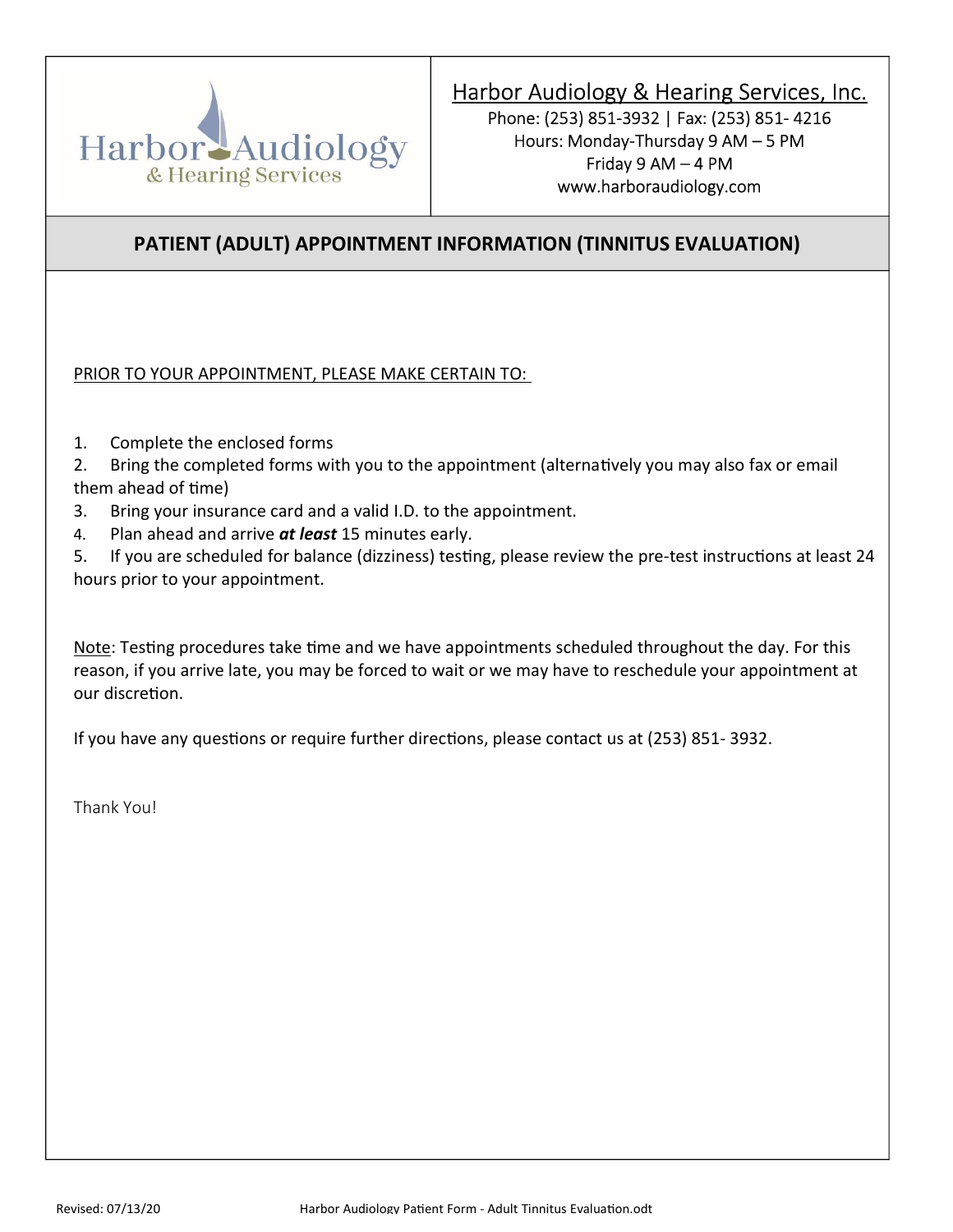

# Harbor Audiology & Hearing Services, Inc.

Phone: (253) 851-3932 | Fax: (253) 851- 4216 Hours: Monday-Thursday 9 AM – 5 PM Friday 9 AM – 4 PM www.harboraudiology.com

### PATIENT (ADULT) APPOINTMENT INFORMATION (TINNITUS EVALUATION)

PRIOR TO YOUR APPOINTMENT, PLEASE MAKE CERTAIN TO:

- 1. Complete the enclosed forms
- 2. Bring the completed forms with you to the appointment (alternatively you may also fax or email them ahead of time)
- 3. Bring your insurance card and a valid I.D. to the appointment.
- 4. Plan ahead and arrive at least 15 minutes early.

5. If you are scheduled for balance (dizziness) testing, please review the pre-test instructions at least 24 hours prior to your appointment.

Note: Testing procedures take time and we have appointments scheduled throughout the day. For this reason, if you arrive late, you may be forced to wait or we may have to reschedule your appointment at our discretion.

If you have any questions or require further directions, please contact us at (253) 851-3932.

Thank You!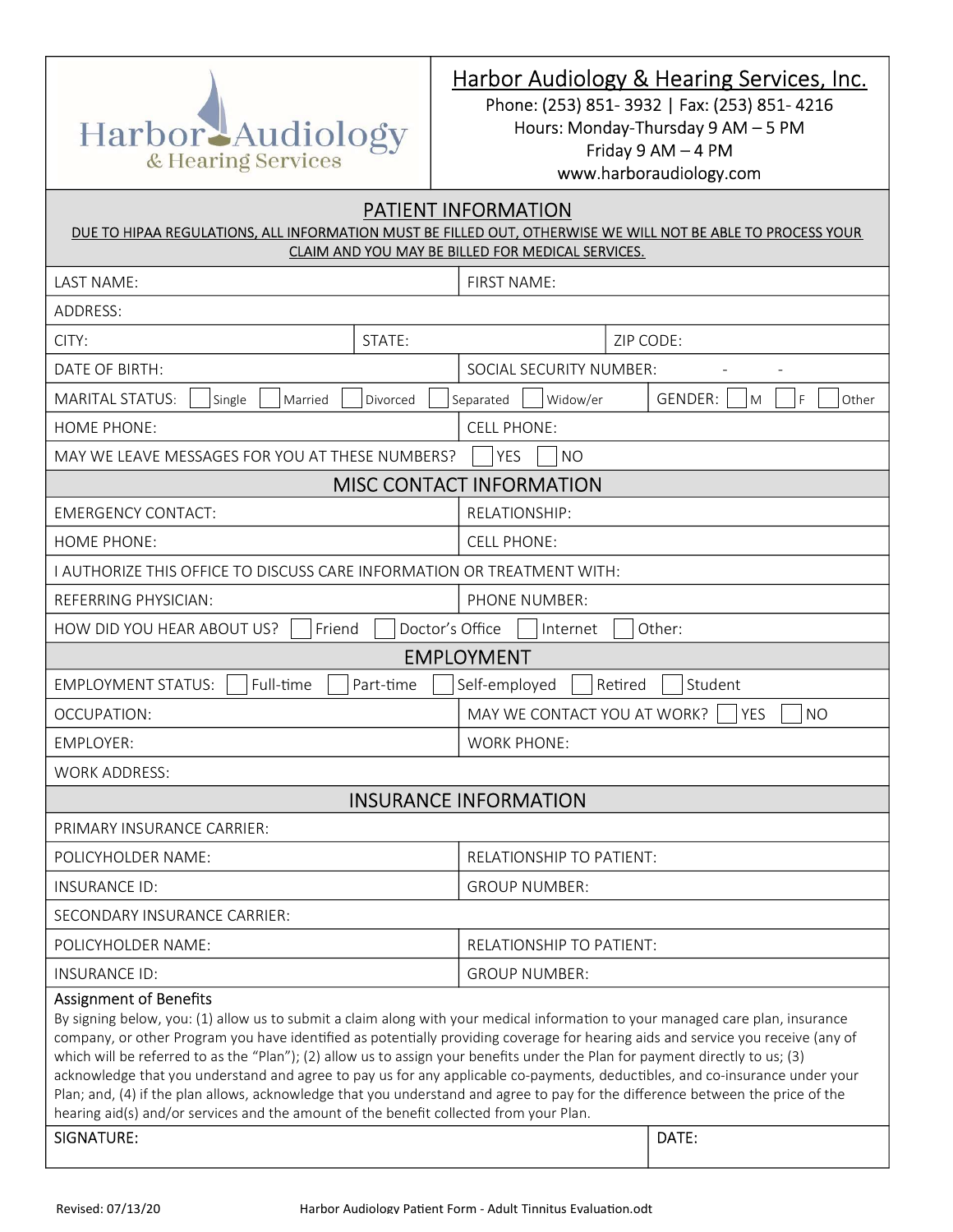

#### Harbor Audiology & Hearing Services, Inc.

Phone: (253) 851- 3932 | Fax: (253) 851- 4216 Hours: Monday-Thursday 9 AM – 5 PM Friday 9 AM – 4 PM www.harboraudiology.com

## PATIENT INFORMATION DUE TO HIPAA REGULATIONS, ALL INFORMATION MUST BE FILLED OUT, OTHERWISE WE WILL NOT BE ABLE TO PROCESS YOUR CLAIM AND YOU MAY BE BILLED FOR MEDICAL SERVICES. LAST NAME:  $\vert$  FIRST NAME: ADDRESS: CITY:  $\begin{array}{|c|c|c|c|c|}\n\hline\n\end{array}$  STATE:  $\begin{array}{|c|c|c|c|c|c|c|c|}\n\hline\n\end{array}$  ZIP CODE: DATE OF BIRTH: SOCIAL SECURITY NUMBER: MARITAL STATUS: Single Married Divorced Separated Widow/er GENDER: M F Other HOME PHONE: CELL PHONE: MAY WE LEAVE MESSAGES FOR YOU AT THESE NUMBERS?  $\Box$  YES  $\Box$  NO MISC CONTACT INFORMATION EMERGENCY CONTACT:  $\vert$  RELATIONSHIP: HOME PHONE: CELL PHONE: I AUTHORIZE THIS OFFICE TO DISCUSS CARE INFORMATION OR TREATMENT WITH: REFERRING PHYSICIAN: PHONE NUMBER: HOW DID YOU HEAR ABOUT US?  $\vert \vert$  Friend  $\vert \vert$  Doctor's Office  $\vert \vert$  Internet  $\vert \vert$  Other: EMPLOYMENT EMPLOYMENT STATUS: Full-time Part-time States Statemployed Retired Student OCCUPATION: MAY WE CONTACT YOU AT WORK? YES NO EMPLOYER: WORK PHONE: WORK ADDRESS: INSURANCE INFORMATION PRIMARY INSURANCE CARRIER: POLICYHOLDER NAME:  $\vert$  relationship to patient: INSURANCE ID: GROUP NUMBER: SECONDARY INSURANCE CARRIER: POLICYHOLDER NAME: RELATIONSHIP TO PATIENT: INSURANCE ID: GROUP NUMBER: Assignment of Benefits By signing below, you: (1) allow us to submit a claim along with your medical information to your managed care plan, insurance company, or other Program you have identified as potentially providing coverage for hearing aids and service you receive (any of which will be referred to as the "Plan"); (2) allow us to assign your benefits under the Plan for payment directly to us; (3) acknowledge that you understand and agree to pay us for any applicable co-payments, deductibles, and co-insurance under your Plan; and, (4) if the plan allows, acknowledge that you understand and agree to pay for the difference between the price of the hearing aid(s) and/or services and the amount of the benefit collected from your Plan. SIGNATURE: DATE: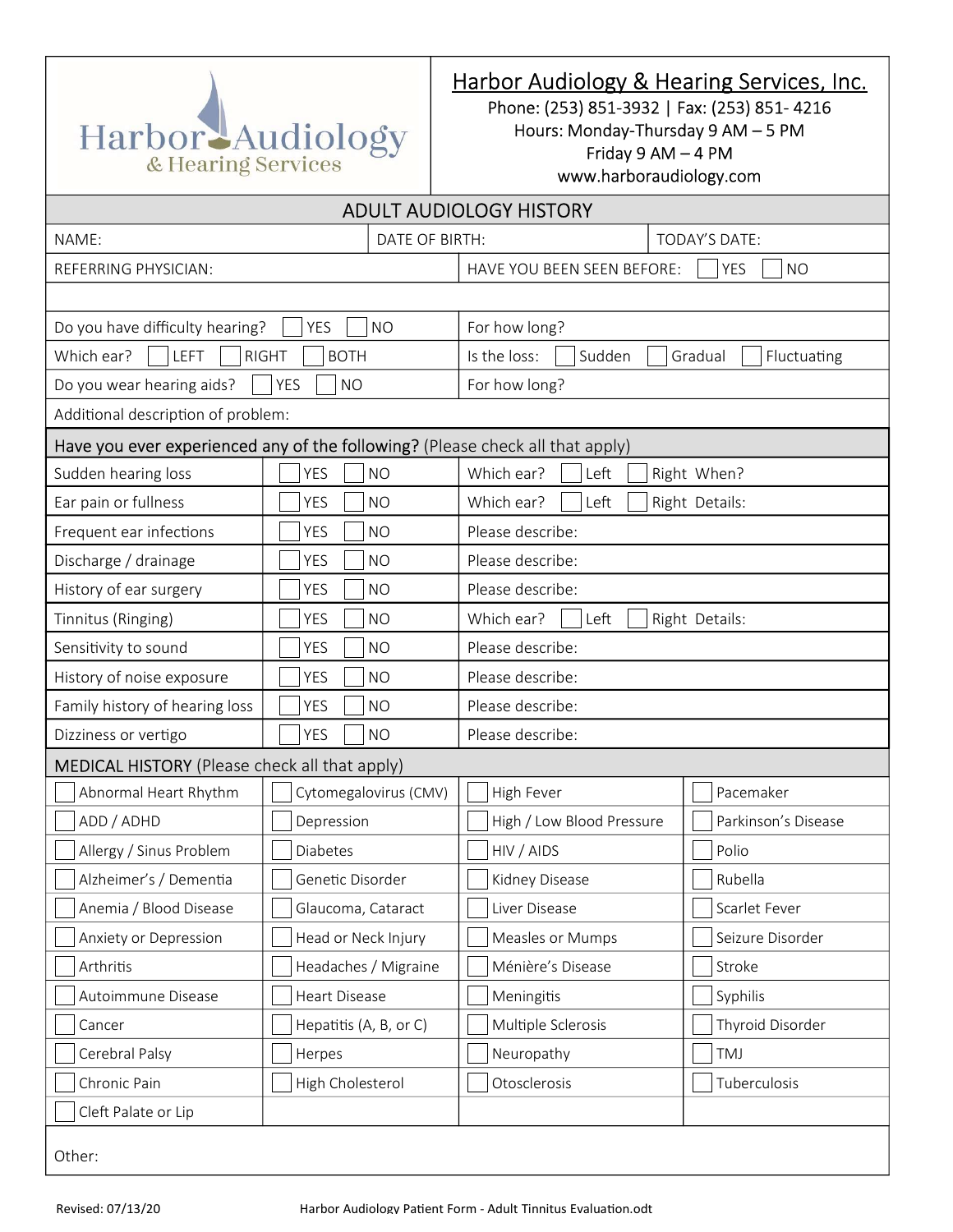

# Harbor Audiology & Hearing Services, Inc.

Phone: (253) 851-3932 | Fax: (253) 851- 4216

Hours: Monday-Thursday 9 AM – 5 PM

Friday 9 AM – 4 PM

www.harboraudiology.com

| <b>ADULT AUDIOLOGY HISTORY</b>                                                |                         |                                                       |                      |  |  |  |
|-------------------------------------------------------------------------------|-------------------------|-------------------------------------------------------|----------------------|--|--|--|
| NAME:                                                                         | DATE OF BIRTH:          |                                                       | <b>TODAY'S DATE:</b> |  |  |  |
| REFERRING PHYSICIAN:                                                          |                         | HAVE YOU BEEN SEEN BEFORE:<br><b>YES</b><br><b>NO</b> |                      |  |  |  |
|                                                                               |                         |                                                       |                      |  |  |  |
| Do you have difficulty hearing?<br><b>YES</b><br><b>NO</b>                    |                         | For how long?                                         |                      |  |  |  |
| Which ear?<br>LEFT<br><b>RIGHT</b><br><b>BOTH</b>                             |                         | Is the loss:<br>Sudden<br>Gradual<br>Fluctuating      |                      |  |  |  |
| Do you wear hearing aids?<br><b>YES</b><br><b>NO</b>                          |                         | For how long?                                         |                      |  |  |  |
| Additional description of problem:                                            |                         |                                                       |                      |  |  |  |
| Have you ever experienced any of the following? (Please check all that apply) |                         |                                                       |                      |  |  |  |
| Sudden hearing loss                                                           | <b>YES</b><br><b>NO</b> | Left<br>Which ear?<br>Right When?                     |                      |  |  |  |
| Ear pain or fullness                                                          | <b>YES</b><br><b>NO</b> | Left<br>Which ear?<br>Right Details:                  |                      |  |  |  |
| Frequent ear infections                                                       | <b>YES</b><br><b>NO</b> | Please describe:                                      |                      |  |  |  |
| Discharge / drainage                                                          | <b>YES</b><br><b>NO</b> | Please describe:                                      |                      |  |  |  |
| History of ear surgery                                                        | <b>YES</b><br><b>NO</b> | Please describe:                                      |                      |  |  |  |
| Tinnitus (Ringing)                                                            | <b>YES</b><br><b>NO</b> | Left<br>Right Details:<br>Which ear?                  |                      |  |  |  |
| Sensitivity to sound                                                          | <b>NO</b><br><b>YES</b> | Please describe:                                      |                      |  |  |  |
| History of noise exposure                                                     | <b>NO</b><br><b>YES</b> | Please describe:                                      |                      |  |  |  |
| Family history of hearing loss                                                | <b>YES</b><br><b>NO</b> | Please describe:                                      |                      |  |  |  |
| Dizziness or vertigo                                                          | <b>YES</b><br><b>NO</b> | Please describe:                                      |                      |  |  |  |
| <b>MEDICAL HISTORY</b> (Please check all that apply)                          |                         |                                                       |                      |  |  |  |
| Abnormal Heart Rhythm                                                         | Cytomegalovirus (CMV)   | High Fever                                            | Pacemaker            |  |  |  |
| ADD / ADHD                                                                    | Depression              | High / Low Blood Pressure                             | Parkinson's Disease  |  |  |  |
| Allergy / Sinus Problem                                                       | Diabetes                | HIV / AIDS                                            | Polio                |  |  |  |
| Alzheimer's / Dementia                                                        | Genetic Disorder        | Kidney Disease                                        | Rubella              |  |  |  |
| Anemia / Blood Disease                                                        | Glaucoma, Cataract      | Liver Disease                                         | Scarlet Fever        |  |  |  |
| Anxiety or Depression                                                         | Head or Neck Injury     | Measles or Mumps                                      | Seizure Disorder     |  |  |  |
| Arthritis                                                                     | Headaches / Migraine    | Ménière's Disease                                     | Stroke               |  |  |  |
| Autoimmune Disease                                                            | Heart Disease           | Meningitis                                            | Syphilis             |  |  |  |
| Cancer                                                                        | Hepatitis (A, B, or C)  | Multiple Sclerosis                                    | Thyroid Disorder     |  |  |  |
| Cerebral Palsy                                                                | Herpes                  | Neuropathy                                            | TMJ                  |  |  |  |
| Chronic Pain                                                                  | High Cholesterol        | Otosclerosis                                          | Tuberculosis         |  |  |  |
| Cleft Palate or Lip                                                           |                         |                                                       |                      |  |  |  |
| Other:                                                                        |                         |                                                       |                      |  |  |  |